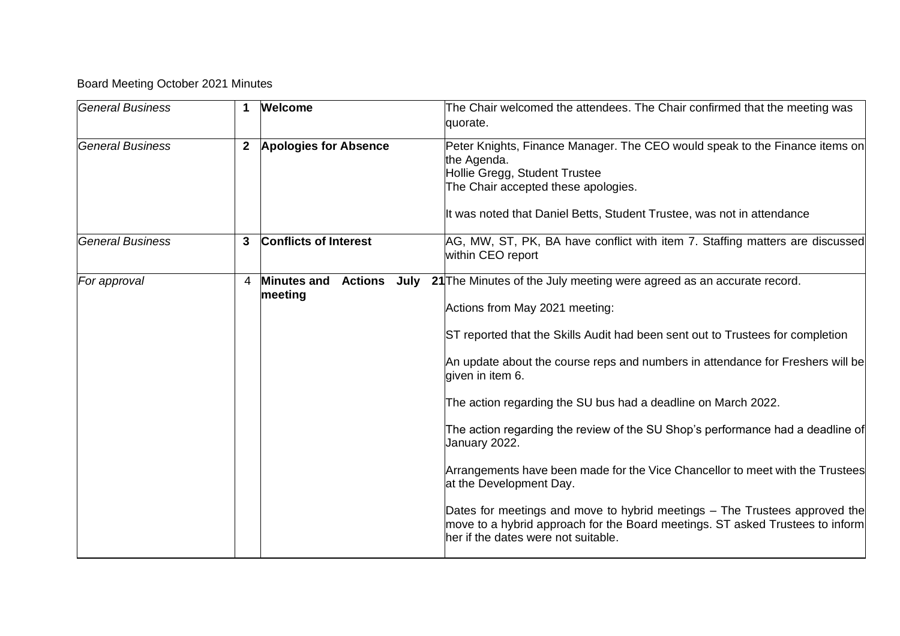## Board Meeting October 2021 Minutes

| <b>General Business</b> | 1            | <b>Welcome</b>                | The Chair welcomed the attendees. The Chair confirmed that the meeting was<br>quorate.                                                                                                                                                                                                                                                                                                                                                                                                                                                                                                                                                                                                                                                                                                             |
|-------------------------|--------------|-------------------------------|----------------------------------------------------------------------------------------------------------------------------------------------------------------------------------------------------------------------------------------------------------------------------------------------------------------------------------------------------------------------------------------------------------------------------------------------------------------------------------------------------------------------------------------------------------------------------------------------------------------------------------------------------------------------------------------------------------------------------------------------------------------------------------------------------|
| <b>General Business</b> | $\mathbf{2}$ | <b>Apologies for Absence</b>  | Peter Knights, Finance Manager. The CEO would speak to the Finance items on<br>the Agenda.<br>Hollie Gregg, Student Trustee<br>The Chair accepted these apologies.<br>It was noted that Daniel Betts, Student Trustee, was not in attendance                                                                                                                                                                                                                                                                                                                                                                                                                                                                                                                                                       |
| <b>General Business</b> | 3            | <b>Conflicts of Interest</b>  | AG, MW, ST, PK, BA have conflict with item 7. Staffing matters are discussed<br>within CEO report                                                                                                                                                                                                                                                                                                                                                                                                                                                                                                                                                                                                                                                                                                  |
| For approval            | 4            | <b>Minutes and</b><br>meeting | Actions July 21 The Minutes of the July meeting were agreed as an accurate record.<br>Actions from May 2021 meeting:<br>ST reported that the Skills Audit had been sent out to Trustees for completion<br>An update about the course reps and numbers in attendance for Freshers will be<br>given in item 6.<br>The action regarding the SU bus had a deadline on March 2022.<br>The action regarding the review of the SU Shop's performance had a deadline of<br>January 2022.<br>Arrangements have been made for the Vice Chancellor to meet with the Trustees<br>at the Development Day.<br>Dates for meetings and move to hybrid meetings – The Trustees approved the<br>move to a hybrid approach for the Board meetings. ST asked Trustees to inform<br>her if the dates were not suitable. |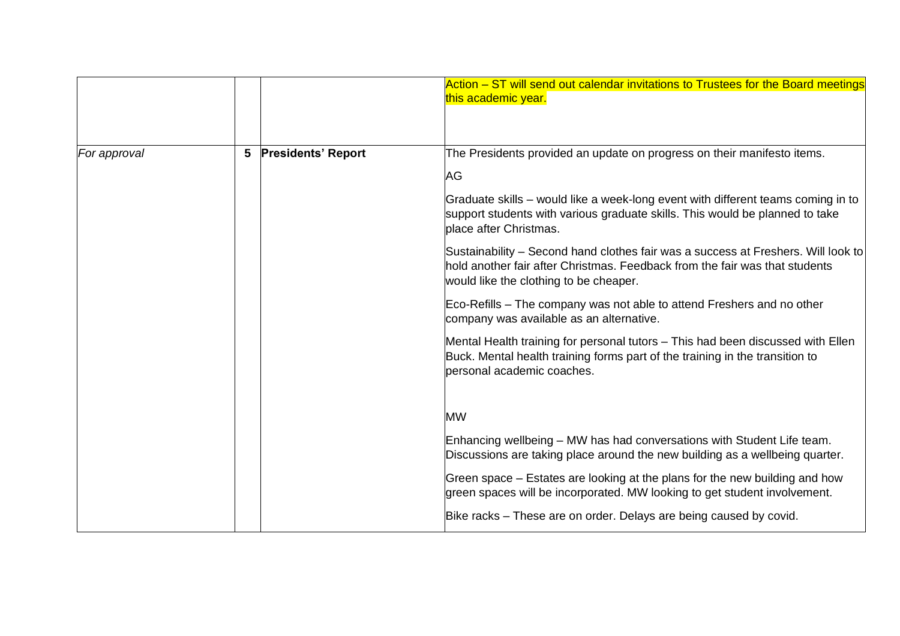|              |                 |                           | Action – ST will send out calendar invitations to Trustees for the Board meetings<br>this academic year.                                                                                                   |
|--------------|-----------------|---------------------------|------------------------------------------------------------------------------------------------------------------------------------------------------------------------------------------------------------|
| For approval | $5\phantom{.0}$ | <b>Presidents' Report</b> | The Presidents provided an update on progress on their manifesto items.                                                                                                                                    |
|              |                 |                           | AG                                                                                                                                                                                                         |
|              |                 |                           | Graduate skills – would like a week-long event with different teams coming in to<br>support students with various graduate skills. This would be planned to take<br>place after Christmas.                 |
|              |                 |                           | Sustainability – Second hand clothes fair was a success at Freshers. Will look to<br>hold another fair after Christmas. Feedback from the fair was that students<br>would like the clothing to be cheaper. |
|              |                 |                           | Eco-Refills – The company was not able to attend Freshers and no other<br>company was available as an alternative.                                                                                         |
|              |                 |                           | Mental Health training for personal tutors - This had been discussed with Ellen<br>Buck. Mental health training forms part of the training in the transition to<br>personal academic coaches.              |
|              |                 |                           | <b>MW</b>                                                                                                                                                                                                  |
|              |                 |                           | Enhancing wellbeing - MW has had conversations with Student Life team.<br>Discussions are taking place around the new building as a wellbeing quarter.                                                     |
|              |                 |                           | Green space - Estates are looking at the plans for the new building and how<br>green spaces will be incorporated. MW looking to get student involvement.                                                   |
|              |                 |                           | Bike racks – These are on order. Delays are being caused by covid.                                                                                                                                         |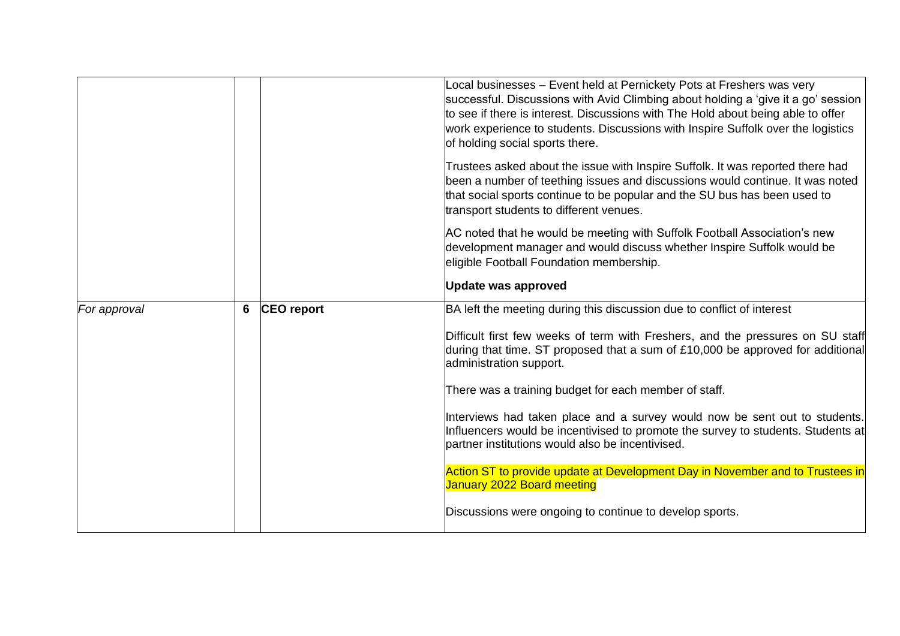|              |   |                   | Local businesses - Event held at Pernickety Pots at Freshers was very<br>successful. Discussions with Avid Climbing about holding a 'give it a go' session<br>to see if there is interest. Discussions with The Hold about being able to offer<br>work experience to students. Discussions with Inspire Suffolk over the logistics<br>of holding social sports there.<br>Trustees asked about the issue with Inspire Suffolk. It was reported there had<br>been a number of teething issues and discussions would continue. It was noted<br>that social sports continue to be popular and the SU bus has been used to<br>transport students to different venues.<br>AC noted that he would be meeting with Suffolk Football Association's new<br>development manager and would discuss whether Inspire Suffolk would be<br>eligible Football Foundation membership.<br>Update was approved |
|--------------|---|-------------------|--------------------------------------------------------------------------------------------------------------------------------------------------------------------------------------------------------------------------------------------------------------------------------------------------------------------------------------------------------------------------------------------------------------------------------------------------------------------------------------------------------------------------------------------------------------------------------------------------------------------------------------------------------------------------------------------------------------------------------------------------------------------------------------------------------------------------------------------------------------------------------------------|
| For approval | 6 | <b>CEO</b> report | BA left the meeting during this discussion due to conflict of interest<br>Difficult first few weeks of term with Freshers, and the pressures on SU staff<br>during that time. ST proposed that a sum of £10,000 be approved for additional<br>administration support.<br>There was a training budget for each member of staff.<br>Interviews had taken place and a survey would now be sent out to students.<br>Influencers would be incentivised to promote the survey to students. Students at<br>partner institutions would also be incentivised.<br>Action ST to provide update at Development Day in November and to Trustees in<br>January 2022 Board meeting<br>Discussions were ongoing to continue to develop sports.                                                                                                                                                             |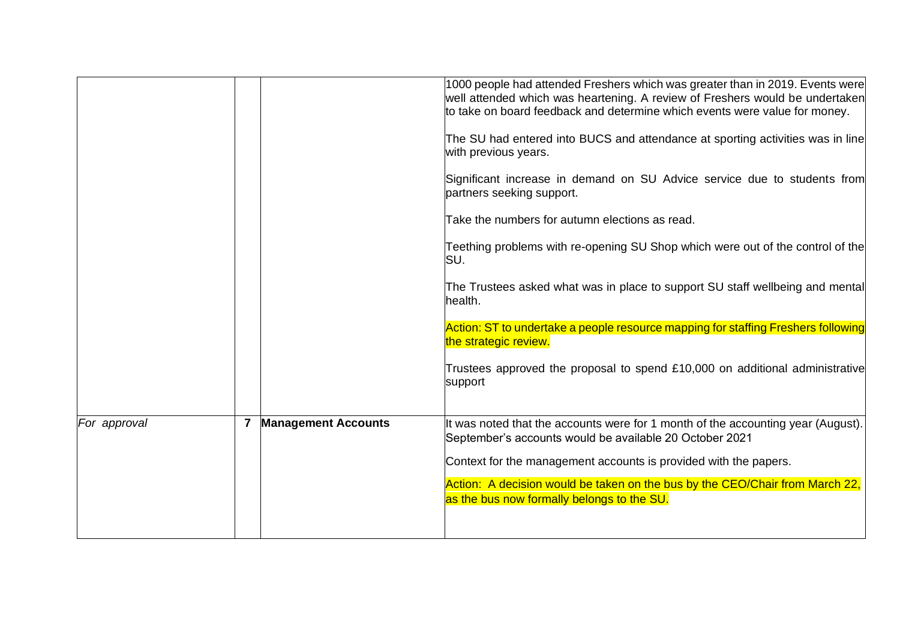|              |                |                            | 1000 people had attended Freshers which was greater than in 2019. Events were<br>well attended which was heartening. A review of Freshers would be undertaken<br>to take on board feedback and determine which events were value for money.<br>The SU had entered into BUCS and attendance at sporting activities was in line<br>with previous years.<br>Significant increase in demand on SU Advice service due to students from<br>partners seeking support.<br>Take the numbers for autumn elections as read.<br>Teething problems with re-opening SU Shop which were out of the control of the<br>SU.<br>The Trustees asked what was in place to support SU staff wellbeing and mental<br>health.<br>Action: ST to undertake a people resource mapping for staffing Freshers following<br>the strategic review. |
|--------------|----------------|----------------------------|---------------------------------------------------------------------------------------------------------------------------------------------------------------------------------------------------------------------------------------------------------------------------------------------------------------------------------------------------------------------------------------------------------------------------------------------------------------------------------------------------------------------------------------------------------------------------------------------------------------------------------------------------------------------------------------------------------------------------------------------------------------------------------------------------------------------|
|              |                |                            | Trustees approved the proposal to spend £10,000 on additional administrative<br>support                                                                                                                                                                                                                                                                                                                                                                                                                                                                                                                                                                                                                                                                                                                             |
| For approval | $\overline{7}$ | <b>Management Accounts</b> | It was noted that the accounts were for 1 month of the accounting year (August).<br>September's accounts would be available 20 October 2021<br>Context for the management accounts is provided with the papers.<br>Action: A decision would be taken on the bus by the CEO/Chair from March 22,<br>as the bus now formally belongs to the SU.                                                                                                                                                                                                                                                                                                                                                                                                                                                                       |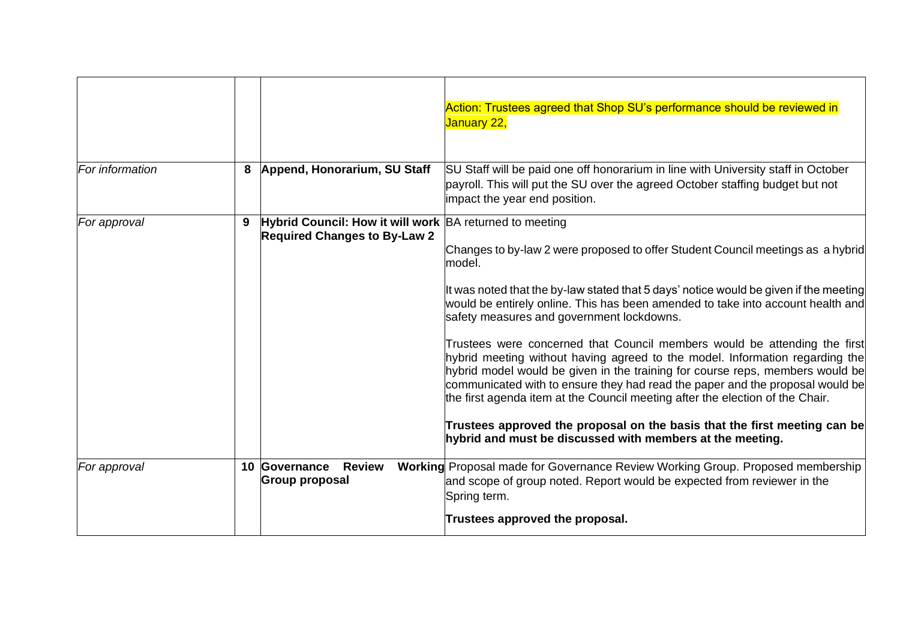|                 |   |                                                                                                | Action: Trustees agreed that Shop SU's performance should be reviewed in<br>January 22,                                                                                                                                                                                                                                                                                                                                                                                                                                                                                                                                                                                                                                                                                                                                                                                      |
|-----------------|---|------------------------------------------------------------------------------------------------|------------------------------------------------------------------------------------------------------------------------------------------------------------------------------------------------------------------------------------------------------------------------------------------------------------------------------------------------------------------------------------------------------------------------------------------------------------------------------------------------------------------------------------------------------------------------------------------------------------------------------------------------------------------------------------------------------------------------------------------------------------------------------------------------------------------------------------------------------------------------------|
| For information | 8 | Append, Honorarium, SU Staff                                                                   | SU Staff will be paid one off honorarium in line with University staff in October<br>payroll. This will put the SU over the agreed October staffing budget but not<br>impact the year end position.                                                                                                                                                                                                                                                                                                                                                                                                                                                                                                                                                                                                                                                                          |
| For approval    | 9 | Hybrid Council: How it will work BA returned to meeting<br><b>Required Changes to By-Law 2</b> | Changes to by-law 2 were proposed to offer Student Council meetings as a hybrid<br>model.<br>It was noted that the by-law stated that 5 days' notice would be given if the meeting<br>would be entirely online. This has been amended to take into account health and<br>safety measures and government lockdowns.<br>Trustees were concerned that Council members would be attending the first<br>hybrid meeting without having agreed to the model. Information regarding the<br>hybrid model would be given in the training for course reps, members would be<br>communicated with to ensure they had read the paper and the proposal would be<br>the first agenda item at the Council meeting after the election of the Chair.<br>Trustees approved the proposal on the basis that the first meeting can be<br>hybrid and must be discussed with members at the meeting. |
| For approval    |   | 10 Governance<br><b>Review</b><br><b>Group proposal</b>                                        | Working Proposal made for Governance Review Working Group. Proposed membership<br>and scope of group noted. Report would be expected from reviewer in the<br>Spring term.<br>Trustees approved the proposal.                                                                                                                                                                                                                                                                                                                                                                                                                                                                                                                                                                                                                                                                 |